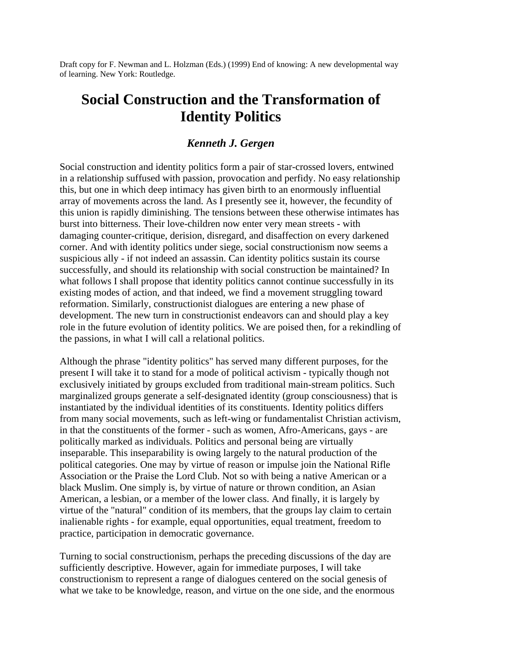Draft copy for F. Newman and L. Holzman (Eds.) (1999) End of knowing: A new developmental way of learning. New York: Routledge.

# **Social Construction and the Transformation of Identity Politics**

# *Kenneth J. Gergen*

Social construction and identity politics form a pair of star-crossed lovers, entwined in a relationship suffused with passion, provocation and perfidy. No easy relationship this, but one in which deep intimacy has given birth to an enormously influential array of movements across the land. As I presently see it, however, the fecundity of this union is rapidly diminishing. The tensions between these otherwise intimates has burst into bitterness. Their love-children now enter very mean streets - with damaging counter-critique, derision, disregard, and disaffection on every darkened corner. And with identity politics under siege, social constructionism now seems a suspicious ally - if not indeed an assassin. Can identity politics sustain its course successfully, and should its relationship with social construction be maintained? In what follows I shall propose that identity politics cannot continue successfully in its existing modes of action, and that indeed, we find a movement struggling toward reformation. Similarly, constructionist dialogues are entering a new phase of development. The new turn in constructionist endeavors can and should play a key role in the future evolution of identity politics. We are poised then, for a rekindling of the passions, in what I will call a relational politics.

Although the phrase "identity politics" has served many different purposes, for the present I will take it to stand for a mode of political activism - typically though not exclusively initiated by groups excluded from traditional main-stream politics. Such marginalized groups generate a self-designated identity (group consciousness) that is instantiated by the individual identities of its constituents. Identity politics differs from many social movements, such as left-wing or fundamentalist Christian activism, in that the constituents of the former - such as women, Afro-Americans, gays - are politically marked as individuals. Politics and personal being are virtually inseparable. This inseparability is owing largely to the natural production of the political categories. One may by virtue of reason or impulse join the National Rifle Association or the Praise the Lord Club. Not so with being a native American or a black Muslim. One simply is, by virtue of nature or thrown condition, an Asian American, a lesbian, or a member of the lower class. And finally, it is largely by virtue of the "natural" condition of its members, that the groups lay claim to certain inalienable rights - for example, equal opportunities, equal treatment, freedom to practice, participation in democratic governance.

Turning to social constructionism, perhaps the preceding discussions of the day are sufficiently descriptive. However, again for immediate purposes, I will take constructionism to represent a range of dialogues centered on the social genesis of what we take to be knowledge, reason, and virtue on the one side, and the enormous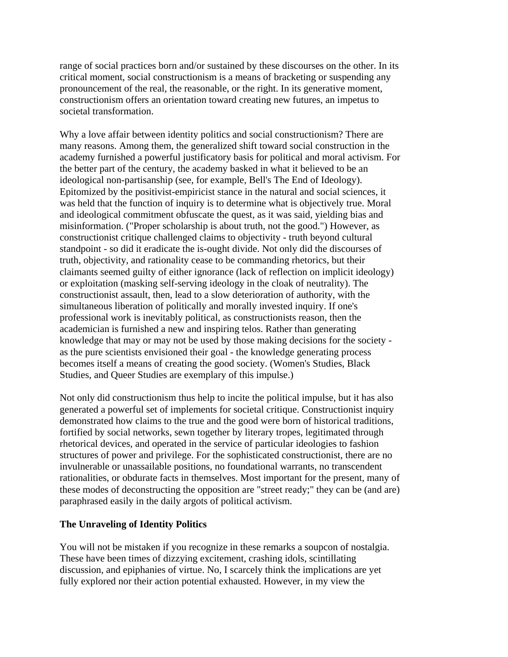range of social practices born and/or sustained by these discourses on the other. In its critical moment, social constructionism is a means of bracketing or suspending any pronouncement of the real, the reasonable, or the right. In its generative moment, constructionism offers an orientation toward creating new futures, an impetus to societal transformation.

Why a love affair between identity politics and social constructionism? There are many reasons. Among them, the generalized shift toward social construction in the academy furnished a powerful justificatory basis for political and moral activism. For the better part of the century, the academy basked in what it believed to be an ideological non-partisanship (see, for example, Bell's The End of Ideology). Epitomized by the positivist-empiricist stance in the natural and social sciences, it was held that the function of inquiry is to determine what is objectively true. Moral and ideological commitment obfuscate the quest, as it was said, yielding bias and misinformation. ("Proper scholarship is about truth, not the good.") However, as constructionist critique challenged claims to objectivity - truth beyond cultural standpoint - so did it eradicate the is-ought divide. Not only did the discourses of truth, objectivity, and rationality cease to be commanding rhetorics, but their claimants seemed guilty of either ignorance (lack of reflection on implicit ideology) or exploitation (masking self-serving ideology in the cloak of neutrality). The constructionist assault, then, lead to a slow deterioration of authority, with the simultaneous liberation of politically and morally invested inquiry. If one's professional work is inevitably political, as constructionists reason, then the academician is furnished a new and inspiring telos. Rather than generating knowledge that may or may not be used by those making decisions for the society as the pure scientists envisioned their goal - the knowledge generating process becomes itself a means of creating the good society. (Women's Studies, Black Studies, and Queer Studies are exemplary of this impulse.)

Not only did constructionism thus help to incite the political impulse, but it has also generated a powerful set of implements for societal critique. Constructionist inquiry demonstrated how claims to the true and the good were born of historical traditions, fortified by social networks, sewn together by literary tropes, legitimated through rhetorical devices, and operated in the service of particular ideologies to fashion structures of power and privilege. For the sophisticated constructionist, there are no invulnerable or unassailable positions, no foundational warrants, no transcendent rationalities, or obdurate facts in themselves. Most important for the present, many of these modes of deconstructing the opposition are "street ready;" they can be (and are) paraphrased easily in the daily argots of political activism.

## **The Unraveling of Identity Politics**

You will not be mistaken if you recognize in these remarks a soupcon of nostalgia. These have been times of dizzying excitement, crashing idols, scintillating discussion, and epiphanies of virtue. No, I scarcely think the implications are yet fully explored nor their action potential exhausted. However, in my view the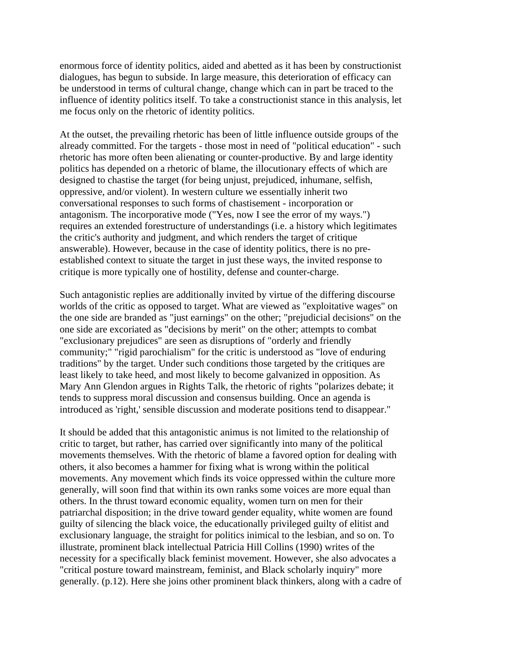enormous force of identity politics, aided and abetted as it has been by constructionist dialogues, has begun to subside. In large measure, this deterioration of efficacy can be understood in terms of cultural change, change which can in part be traced to the influence of identity politics itself. To take a constructionist stance in this analysis, let me focus only on the rhetoric of identity politics.

At the outset, the prevailing rhetoric has been of little influence outside groups of the already committed. For the targets - those most in need of "political education" - such rhetoric has more often been alienating or counter-productive. By and large identity politics has depended on a rhetoric of blame, the illocutionary effects of which are designed to chastise the target (for being unjust, prejudiced, inhumane, selfish, oppressive, and/or violent). In western culture we essentially inherit two conversational responses to such forms of chastisement - incorporation or antagonism. The incorporative mode ("Yes, now I see the error of my ways.") requires an extended forestructure of understandings (i.e. a history which legitimates the critic's authority and judgment, and which renders the target of critique answerable). However, because in the case of identity politics, there is no preestablished context to situate the target in just these ways, the invited response to critique is more typically one of hostility, defense and counter-charge.

Such antagonistic replies are additionally invited by virtue of the differing discourse worlds of the critic as opposed to target. What are viewed as "exploitative wages" on the one side are branded as "just earnings" on the other; "prejudicial decisions" on the one side are excoriated as "decisions by merit" on the other; attempts to combat "exclusionary prejudices" are seen as disruptions of "orderly and friendly community;" "rigid parochialism" for the critic is understood as "love of enduring traditions" by the target. Under such conditions those targeted by the critiques are least likely to take heed, and most likely to become galvanized in opposition. As Mary Ann Glendon argues in Rights Talk, the rhetoric of rights "polarizes debate; it tends to suppress moral discussion and consensus building. Once an agenda is introduced as 'right,' sensible discussion and moderate positions tend to disappear."

It should be added that this antagonistic animus is not limited to the relationship of critic to target, but rather, has carried over significantly into many of the political movements themselves. With the rhetoric of blame a favored option for dealing with others, it also becomes a hammer for fixing what is wrong within the political movements. Any movement which finds its voice oppressed within the culture more generally, will soon find that within its own ranks some voices are more equal than others. In the thrust toward economic equality, women turn on men for their patriarchal disposition; in the drive toward gender equality, white women are found guilty of silencing the black voice, the educationally privileged guilty of elitist and exclusionary language, the straight for politics inimical to the lesbian, and so on. To illustrate, prominent black intellectual Patricia Hill Collins (1990) writes of the necessity for a specifically black feminist movement. However, she also advocates a "critical posture toward mainstream, feminist, and Black scholarly inquiry" more generally. (p.12). Here she joins other prominent black thinkers, along with a cadre of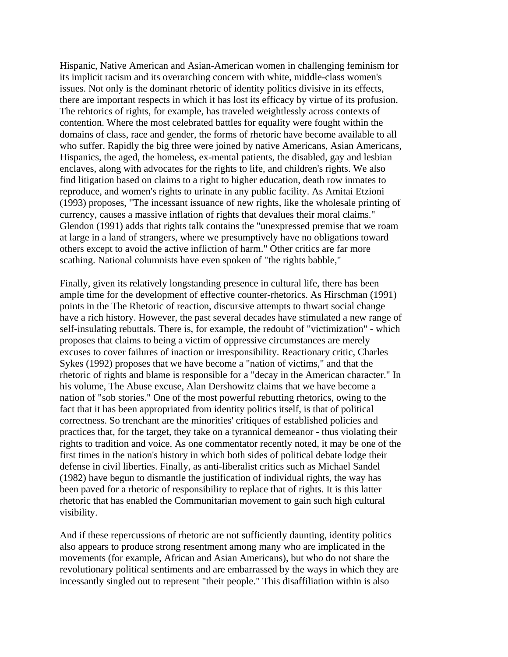Hispanic, Native American and Asian-American women in challenging feminism for its implicit racism and its overarching concern with white, middle-class women's issues. Not only is the dominant rhetoric of identity politics divisive in its effects, there are important respects in which it has lost its efficacy by virtue of its profusion. The rehtorics of rights, for example, has traveled weightlessly across contexts of contention. Where the most celebrated battles for equality were fought within the domains of class, race and gender, the forms of rhetoric have become available to all who suffer. Rapidly the big three were joined by native Americans, Asian Americans, Hispanics, the aged, the homeless, ex-mental patients, the disabled, gay and lesbian enclaves, along with advocates for the rights to life, and children's rights. We also find litigation based on claims to a right to higher education, death row inmates to reproduce, and women's rights to urinate in any public facility. As Amitai Etzioni (1993) proposes, "The incessant issuance of new rights, like the wholesale printing of currency, causes a massive inflation of rights that devalues their moral claims." Glendon (1991) adds that rights talk contains the "unexpressed premise that we roam at large in a land of strangers, where we presumptively have no obligations toward others except to avoid the active infliction of harm." Other critics are far more scathing. National columnists have even spoken of "the rights babble,"

Finally, given its relatively longstanding presence in cultural life, there has been ample time for the development of effective counter-rhetorics. As Hirschman (1991) points in the The Rhetoric of reaction, discursive attempts to thwart social change have a rich history. However, the past several decades have stimulated a new range of self-insulating rebuttals. There is, for example, the redoubt of "victimization" - which proposes that claims to being a victim of oppressive circumstances are merely excuses to cover failures of inaction or irresponsibility. Reactionary critic, Charles Sykes (1992) proposes that we have become a "nation of victims," and that the rhetoric of rights and blame is responsible for a "decay in the American character." In his volume, The Abuse excuse, Alan Dershowitz claims that we have become a nation of "sob stories." One of the most powerful rebutting rhetorics, owing to the fact that it has been appropriated from identity politics itself, is that of political correctness. So trenchant are the minorities' critiques of established policies and practices that, for the target, they take on a tyrannical demeanor - thus violating their rights to tradition and voice. As one commentator recently noted, it may be one of the first times in the nation's history in which both sides of political debate lodge their defense in civil liberties. Finally, as anti-liberalist critics such as Michael Sandel (1982) have begun to dismantle the justification of individual rights, the way has been paved for a rhetoric of responsibility to replace that of rights. It is this latter rhetoric that has enabled the Communitarian movement to gain such high cultural visibility.

And if these repercussions of rhetoric are not sufficiently daunting, identity politics also appears to produce strong resentment among many who are implicated in the movements (for example, African and Asian Americans), but who do not share the revolutionary political sentiments and are embarrassed by the ways in which they are incessantly singled out to represent "their people." This disaffiliation within is also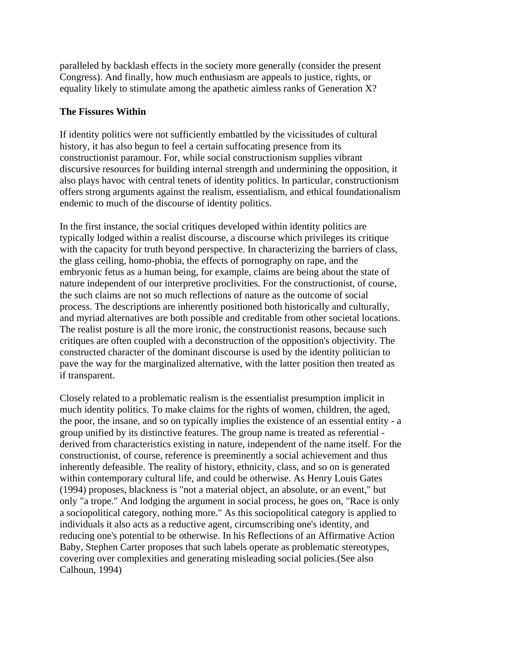paralleled by backlash effects in the society more generally (consider the present Congress). And finally, how much enthusiasm are appeals to justice, rights, or equality likely to stimulate among the apathetic aimless ranks of Generation X?

## **The Fissures Within**

If identity politics were not sufficiently embattled by the vicissitudes of cultural history, it has also begun to feel a certain suffocating presence from its constructionist paramour. For, while social constructionism supplies vibrant discursive resources for building internal strength and undermining the opposition, it also plays havoc with central tenets of identity politics. In particular, constructionism offers strong arguments against the realism, essentialism, and ethical foundationalism endemic to much of the discourse of identity politics.

In the first instance, the social critiques developed within identity politics are typically lodged within a realist discourse, a discourse which privileges its critique with the capacity for truth beyond perspective. In characterizing the barriers of class, the glass ceiling, homo-phobia, the effects of pornography on rape, and the embryonic fetus as a human being, for example, claims are being about the state of nature independent of our interpretive proclivities. For the constructionist, of course, the such claims are not so much reflections of nature as the outcome of social process. The descriptions are inherently positioned both historically and culturally, and myriad alternatives are both possible and creditable from other societal locations. The realist posture is all the more ironic, the constructionist reasons, because such critiques are often coupled with a deconstruction of the opposition's objectivity. The constructed character of the dominant discourse is used by the identity politician to pave the way for the marginalized alternative, with the latter position then treated as if transparent.

Closely related to a problematic realism is the essentialist presumption implicit in much identity politics. To make claims for the rights of women, children, the aged, the poor, the insane, and so on typically implies the existence of an essential entity - a group unified by its distinctive features. The group name is treated as referential derived from characteristics existing in nature, independent of the name itself. For the constructionist, of course, reference is preeminently a social achievement and thus inherently defeasible. The reality of history, ethnicity, class, and so on is generated within contemporary cultural life, and could be otherwise. As Henry Louis Gates (1994) proposes, blackness is "not a material object, an absolute, or an event," but only "a trope." And lodging the argument in social process, he goes on, "Race is only a sociopolitical category, nothing more." As this sociopolitical category is applied to individuals it also acts as a reductive agent, circumscribing one's identity, and reducing one's potential to be otherwise. In his Reflections of an Affirmative Action Baby, Stephen Carter proposes that such labels operate as problematic stereotypes, covering over complexities and generating misleading social policies.(See also Calhoun, 1994)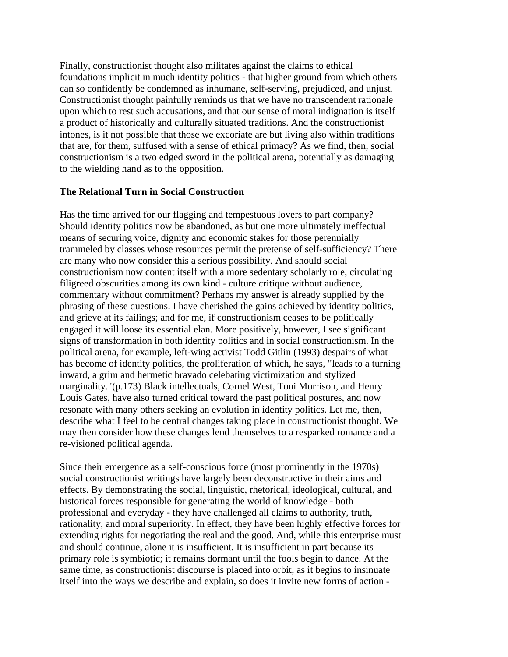Finally, constructionist thought also militates against the claims to ethical foundations implicit in much identity politics - that higher ground from which others can so confidently be condemned as inhumane, self-serving, prejudiced, and unjust. Constructionist thought painfully reminds us that we have no transcendent rationale upon which to rest such accusations, and that our sense of moral indignation is itself a product of historically and culturally situated traditions. And the constructionist intones, is it not possible that those we excoriate are but living also within traditions that are, for them, suffused with a sense of ethical primacy? As we find, then, social constructionism is a two edged sword in the political arena, potentially as damaging to the wielding hand as to the opposition.

#### **The Relational Turn in Social Construction**

Has the time arrived for our flagging and tempestuous lovers to part company? Should identity politics now be abandoned, as but one more ultimately ineffectual means of securing voice, dignity and economic stakes for those perennially trammeled by classes whose resources permit the pretense of self-sufficiency? There are many who now consider this a serious possibility. And should social constructionism now content itself with a more sedentary scholarly role, circulating filigreed obscurities among its own kind - culture critique without audience, commentary without commitment? Perhaps my answer is already supplied by the phrasing of these questions. I have cherished the gains achieved by identity politics, and grieve at its failings; and for me, if constructionism ceases to be politically engaged it will loose its essential elan. More positively, however, I see significant signs of transformation in both identity politics and in social constructionism. In the political arena, for example, left-wing activist Todd Gitlin (1993) despairs of what has become of identity politics, the proliferation of which, he says, "leads to a turning inward, a grim and hermetic bravado celebating victimization and stylized marginality."(p.173) Black intellectuals, Cornel West, Toni Morrison, and Henry Louis Gates, have also turned critical toward the past political postures, and now resonate with many others seeking an evolution in identity politics. Let me, then, describe what I feel to be central changes taking place in constructionist thought. We may then consider how these changes lend themselves to a resparked romance and a re-visioned political agenda.

Since their emergence as a self-conscious force (most prominently in the 1970s) social constructionist writings have largely been deconstructive in their aims and effects. By demonstrating the social, linguistic, rhetorical, ideological, cultural, and historical forces responsible for generating the world of knowledge - both professional and everyday - they have challenged all claims to authority, truth, rationality, and moral superiority. In effect, they have been highly effective forces for extending rights for negotiating the real and the good. And, while this enterprise must and should continue, alone it is insufficient. It is insufficient in part because its primary role is symbiotic; it remains dormant until the fools begin to dance. At the same time, as constructionist discourse is placed into orbit, as it begins to insinuate itself into the ways we describe and explain, so does it invite new forms of action -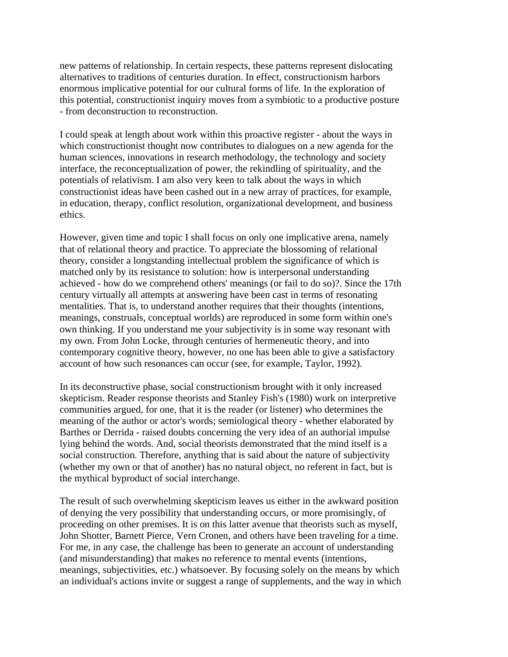new patterns of relationship. In certain respects, these patterns represent dislocating alternatives to traditions of centuries duration. In effect, constructionism harbors enormous implicative potential for our cultural forms of life. In the exploration of this potential, constructionist inquiry moves from a symbiotic to a productive posture - from deconstruction to reconstruction.

I could speak at length about work within this proactive register - about the ways in which constructionist thought now contributes to dialogues on a new agenda for the human sciences, innovations in research methodology, the technology and society interface, the reconceptualization of power, the rekindling of spirituality, and the potentials of relativism. I am also very keen to talk about the ways in which constructionist ideas have been cashed out in a new array of practices, for example, in education, therapy, conflict resolution, organizational development, and business ethics.

However, given time and topic I shall focus on only one implicative arena, namely that of relational theory and practice. To appreciate the blossoming of relational theory, consider a longstanding intellectual problem the significance of which is matched only by its resistance to solution: how is interpersonal understanding achieved - how do we comprehend others' meanings (or fail to do so)?. Since the 17th century virtually all attempts at answering have been cast in terms of resonating mentalities. That is, to understand another requires that their thoughts (intentions, meanings, construals, conceptual worlds) are reproduced in some form within one's own thinking. If you understand me your subjectivity is in some way resonant with my own. From John Locke, through centuries of hermeneutic theory, and into contemporary cognitive theory, however, no one has been able to give a satisfactory account of how such resonances can occur (see, for example, Taylor, 1992).

In its deconstructive phase, social constructionism brought with it only increased skepticism. Reader response theorists and Stanley Fish's (1980) work on interpretive communities argued, for one, that it is the reader (or listener) who determines the meaning of the author or actor's words; semiological theory - whether elaborated by Barthes or Derrida - raised doubts concerning the very idea of an authorial impulse lying behind the words. And, social theorists demonstrated that the mind itself is a social construction. Therefore, anything that is said about the nature of subjectivity (whether my own or that of another) has no natural object, no referent in fact, but is the mythical byproduct of social interchange.

The result of such overwhelming skepticism leaves us either in the awkward position of denying the very possibility that understanding occurs, or more promisingly, of proceeding on other premises. It is on this latter avenue that theorists such as myself, John Shotter, Barnett Pierce, Vern Cronen, and others have been traveling for a time. For me, in any case, the challenge has been to generate an account of understanding (and misunderstanding) that makes no reference to mental events (intentions, meanings, subjectivities, etc.) whatsoever. By focusing solely on the means by which an individual's actions invite or suggest a range of supplements, and the way in which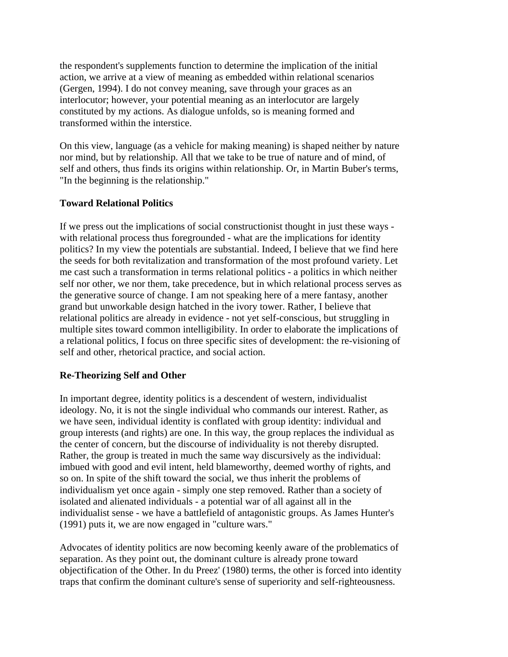the respondent's supplements function to determine the implication of the initial action, we arrive at a view of meaning as embedded within relational scenarios (Gergen, 1994). I do not convey meaning, save through your graces as an interlocutor; however, your potential meaning as an interlocutor are largely constituted by my actions. As dialogue unfolds, so is meaning formed and transformed within the interstice.

On this view, language (as a vehicle for making meaning) is shaped neither by nature nor mind, but by relationship. All that we take to be true of nature and of mind, of self and others, thus finds its origins within relationship. Or, in Martin Buber's terms, "In the beginning is the relationship."

# **Toward Relational Politics**

If we press out the implications of social constructionist thought in just these ways with relational process thus foregrounded - what are the implications for identity politics? In my view the potentials are substantial. Indeed, I believe that we find here the seeds for both revitalization and transformation of the most profound variety. Let me cast such a transformation in terms relational politics - a politics in which neither self nor other, we nor them, take precedence, but in which relational process serves as the generative source of change. I am not speaking here of a mere fantasy, another grand but unworkable design hatched in the ivory tower. Rather, I believe that relational politics are already in evidence - not yet self-conscious, but struggling in multiple sites toward common intelligibility. In order to elaborate the implications of a relational politics, I focus on three specific sites of development: the re-visioning of self and other, rhetorical practice, and social action.

# **Re-Theorizing Self and Other**

In important degree, identity politics is a descendent of western, individualist ideology. No, it is not the single individual who commands our interest. Rather, as we have seen, individual identity is conflated with group identity: individual and group interests (and rights) are one. In this way, the group replaces the individual as the center of concern, but the discourse of individuality is not thereby disrupted. Rather, the group is treated in much the same way discursively as the individual: imbued with good and evil intent, held blameworthy, deemed worthy of rights, and so on. In spite of the shift toward the social, we thus inherit the problems of individualism yet once again - simply one step removed. Rather than a society of isolated and alienated individuals - a potential war of all against all in the individualist sense - we have a battlefield of antagonistic groups. As James Hunter's (1991) puts it, we are now engaged in "culture wars."

Advocates of identity politics are now becoming keenly aware of the problematics of separation. As they point out, the dominant culture is already prone toward objectification of the Other. In du Preez' (1980) terms, the other is forced into identity traps that confirm the dominant culture's sense of superiority and self-righteousness.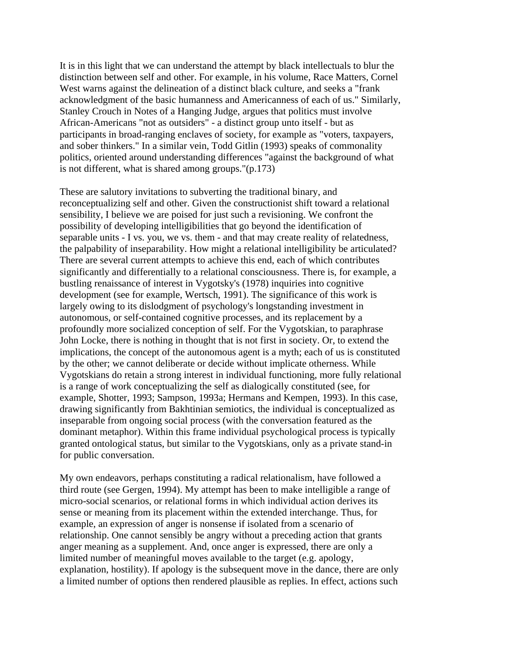It is in this light that we can understand the attempt by black intellectuals to blur the distinction between self and other. For example, in his volume, Race Matters, Cornel West warns against the delineation of a distinct black culture, and seeks a "frank acknowledgment of the basic humanness and Americanness of each of us." Similarly, Stanley Crouch in Notes of a Hanging Judge, argues that politics must involve African-Americans "not as outsiders" - a distinct group unto itself - but as participants in broad-ranging enclaves of society, for example as "voters, taxpayers, and sober thinkers." In a similar vein, Todd Gitlin (1993) speaks of commonality politics, oriented around understanding differences "against the background of what is not different, what is shared among groups."(p.173)

These are salutory invitations to subverting the traditional binary, and reconceptualizing self and other. Given the constructionist shift toward a relational sensibility, I believe we are poised for just such a revisioning. We confront the possibility of developing intelligibilities that go beyond the identification of separable units - I vs. you, we vs. them - and that may create reality of relatedness, the palpability of inseparability. How might a relational intelligibility be articulated? There are several current attempts to achieve this end, each of which contributes significantly and differentially to a relational consciousness. There is, for example, a bustling renaissance of interest in Vygotsky's (1978) inquiries into cognitive development (see for example, Wertsch, 1991). The significance of this work is largely owing to its dislodgment of psychology's longstanding investment in autonomous, or self-contained cognitive processes, and its replacement by a profoundly more socialized conception of self. For the Vygotskian, to paraphrase John Locke, there is nothing in thought that is not first in society. Or, to extend the implications, the concept of the autonomous agent is a myth; each of us is constituted by the other; we cannot deliberate or decide without implicate otherness. While Vygotskians do retain a strong interest in individual functioning, more fully relational is a range of work conceptualizing the self as dialogically constituted (see, for example, Shotter, 1993; Sampson, 1993a; Hermans and Kempen, 1993). In this case, drawing significantly from Bakhtinian semiotics, the individual is conceptualized as inseparable from ongoing social process (with the conversation featured as the dominant metaphor). Within this frame individual psychological process is typically granted ontological status, but similar to the Vygotskians, only as a private stand-in for public conversation.

My own endeavors, perhaps constituting a radical relationalism, have followed a third route (see Gergen, 1994). My attempt has been to make intelligible a range of micro-social scenarios, or relational forms in which individual action derives its sense or meaning from its placement within the extended interchange. Thus, for example, an expression of anger is nonsense if isolated from a scenario of relationship. One cannot sensibly be angry without a preceding action that grants anger meaning as a supplement. And, once anger is expressed, there are only a limited number of meaningful moves available to the target (e.g. apology, explanation, hostility). If apology is the subsequent move in the dance, there are only a limited number of options then rendered plausible as replies. In effect, actions such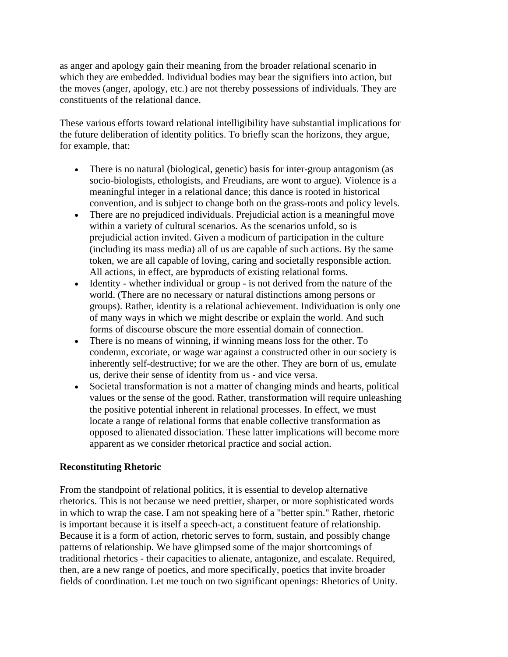as anger and apology gain their meaning from the broader relational scenario in which they are embedded. Individual bodies may bear the signifiers into action, but the moves (anger, apology, etc.) are not thereby possessions of individuals. They are constituents of the relational dance.

These various efforts toward relational intelligibility have substantial implications for the future deliberation of identity politics. To briefly scan the horizons, they argue, for example, that:

- There is no natural (biological, genetic) basis for inter-group antagonism (as socio-biologists, ethologists, and Freudians, are wont to argue). Violence is a meaningful integer in a relational dance; this dance is rooted in historical convention, and is subject to change both on the grass-roots and policy levels.
- There are no prejudiced individuals. Prejudicial action is a meaningful move within a variety of cultural scenarios. As the scenarios unfold, so is prejudicial action invited. Given a modicum of participation in the culture (including its mass media) all of us are capable of such actions. By the same token, we are all capable of loving, caring and societally responsible action. All actions, in effect, are byproducts of existing relational forms.
- Identity whether individual or group is not derived from the nature of the world. (There are no necessary or natural distinctions among persons or groups). Rather, identity is a relational achievement. Individuation is only one of many ways in which we might describe or explain the world. And such forms of discourse obscure the more essential domain of connection.
- There is no means of winning, if winning means loss for the other. To condemn, excoriate, or wage war against a constructed other in our society is inherently self-destructive; for we are the other. They are born of us, emulate us, derive their sense of identity from us - and vice versa.
- Societal transformation is not a matter of changing minds and hearts, political values or the sense of the good. Rather, transformation will require unleashing the positive potential inherent in relational processes. In effect, we must locate a range of relational forms that enable collective transformation as opposed to alienated dissociation. These latter implications will become more apparent as we consider rhetorical practice and social action.

## **Reconstituting Rhetoric**

From the standpoint of relational politics, it is essential to develop alternative rhetorics. This is not because we need prettier, sharper, or more sophisticated words in which to wrap the case. I am not speaking here of a "better spin." Rather, rhetoric is important because it is itself a speech-act, a constituent feature of relationship. Because it is a form of action, rhetoric serves to form, sustain, and possibly change patterns of relationship. We have glimpsed some of the major shortcomings of traditional rhetorics - their capacities to alienate, antagonize, and escalate. Required, then, are a new range of poetics, and more specifically, poetics that invite broader fields of coordination. Let me touch on two significant openings: Rhetorics of Unity.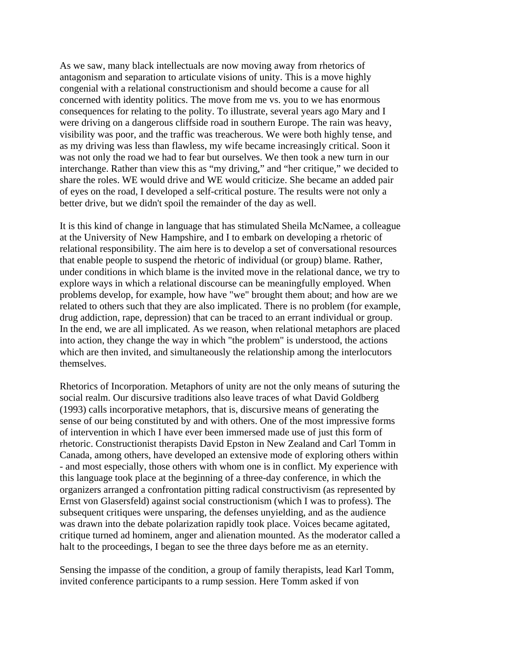As we saw, many black intellectuals are now moving away from rhetorics of antagonism and separation to articulate visions of unity. This is a move highly congenial with a relational constructionism and should become a cause for all concerned with identity politics. The move from me vs. you to we has enormous consequences for relating to the polity. To illustrate, several years ago Mary and I were driving on a dangerous cliffside road in southern Europe. The rain was heavy, visibility was poor, and the traffic was treacherous. We were both highly tense, and as my driving was less than flawless, my wife became increasingly critical. Soon it was not only the road we had to fear but ourselves. We then took a new turn in our interchange. Rather than view this as "my driving," and "her critique," we decided to share the roles. WE would drive and WE would criticize. She became an added pair of eyes on the road, I developed a self-critical posture. The results were not only a better drive, but we didn't spoil the remainder of the day as well.

It is this kind of change in language that has stimulated Sheila McNamee, a colleague at the University of New Hampshire, and I to embark on developing a rhetoric of relational responsibility. The aim here is to develop a set of conversational resources that enable people to suspend the rhetoric of individual (or group) blame. Rather, under conditions in which blame is the invited move in the relational dance, we try to explore ways in which a relational discourse can be meaningfully employed. When problems develop, for example, how have "we" brought them about; and how are we related to others such that they are also implicated. There is no problem (for example, drug addiction, rape, depression) that can be traced to an errant individual or group. In the end, we are all implicated. As we reason, when relational metaphors are placed into action, they change the way in which "the problem" is understood, the actions which are then invited, and simultaneously the relationship among the interlocutors themselves.

Rhetorics of Incorporation. Metaphors of unity are not the only means of suturing the social realm. Our discursive traditions also leave traces of what David Goldberg (1993) calls incorporative metaphors, that is, discursive means of generating the sense of our being constituted by and with others. One of the most impressive forms of intervention in which I have ever been immersed made use of just this form of rhetoric. Constructionist therapists David Epston in New Zealand and Carl Tomm in Canada, among others, have developed an extensive mode of exploring others within - and most especially, those others with whom one is in conflict. My experience with this language took place at the beginning of a three-day conference, in which the organizers arranged a confrontation pitting radical constructivism (as represented by Ernst von Glasersfeld) against social constructionism (which I was to profess). The subsequent critiques were unsparing, the defenses unyielding, and as the audience was drawn into the debate polarization rapidly took place. Voices became agitated, critique turned ad hominem, anger and alienation mounted. As the moderator called a halt to the proceedings, I began to see the three days before me as an eternity.

Sensing the impasse of the condition, a group of family therapists, lead Karl Tomm, invited conference participants to a rump session. Here Tomm asked if von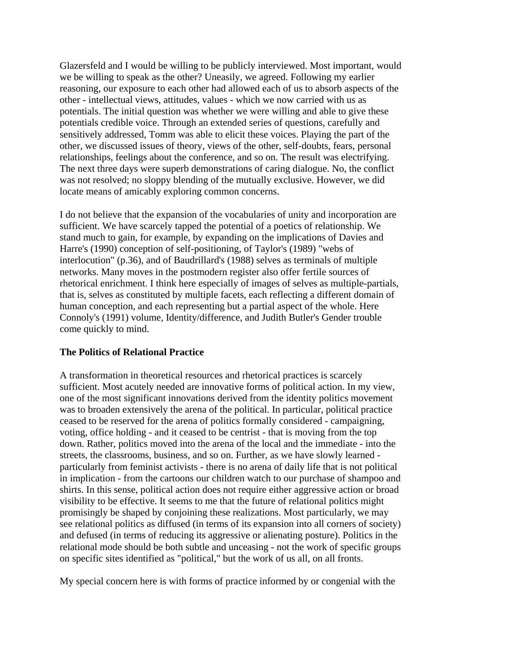Glazersfeld and I would be willing to be publicly interviewed. Most important, would we be willing to speak as the other? Uneasily, we agreed. Following my earlier reasoning, our exposure to each other had allowed each of us to absorb aspects of the other - intellectual views, attitudes, values - which we now carried with us as potentials. The initial question was whether we were willing and able to give these potentials credible voice. Through an extended series of questions, carefully and sensitively addressed, Tomm was able to elicit these voices. Playing the part of the other, we discussed issues of theory, views of the other, self-doubts, fears, personal relationships, feelings about the conference, and so on. The result was electrifying. The next three days were superb demonstrations of caring dialogue. No, the conflict was not resolved; no sloppy blending of the mutually exclusive. However, we did locate means of amicably exploring common concerns.

I do not believe that the expansion of the vocabularies of unity and incorporation are sufficient. We have scarcely tapped the potential of a poetics of relationship. We stand much to gain, for example, by expanding on the implications of Davies and Harre's (1990) conception of self-positioning, of Taylor's (1989) "webs of interlocution" (p.36), and of Baudrillard's (1988) selves as terminals of multiple networks. Many moves in the postmodern register also offer fertile sources of rhetorical enrichment. I think here especially of images of selves as multiple-partials, that is, selves as constituted by multiple facets, each reflecting a different domain of human conception, and each representing but a partial aspect of the whole. Here Connoly's (1991) volume, Identity/difference, and Judith Butler's Gender trouble come quickly to mind.

## **The Politics of Relational Practice**

A transformation in theoretical resources and rhetorical practices is scarcely sufficient. Most acutely needed are innovative forms of political action. In my view, one of the most significant innovations derived from the identity politics movement was to broaden extensively the arena of the political. In particular, political practice ceased to be reserved for the arena of politics formally considered - campaigning, voting, office holding - and it ceased to be centrist - that is moving from the top down. Rather, politics moved into the arena of the local and the immediate - into the streets, the classrooms, business, and so on. Further, as we have slowly learned particularly from feminist activists - there is no arena of daily life that is not political in implication - from the cartoons our children watch to our purchase of shampoo and shirts. In this sense, political action does not require either aggressive action or broad visibility to be effective. It seems to me that the future of relational politics might promisingly be shaped by conjoining these realizations. Most particularly, we may see relational politics as diffused (in terms of its expansion into all corners of society) and defused (in terms of reducing its aggressive or alienating posture). Politics in the relational mode should be both subtle and unceasing - not the work of specific groups on specific sites identified as "political," but the work of us all, on all fronts.

My special concern here is with forms of practice informed by or congenial with the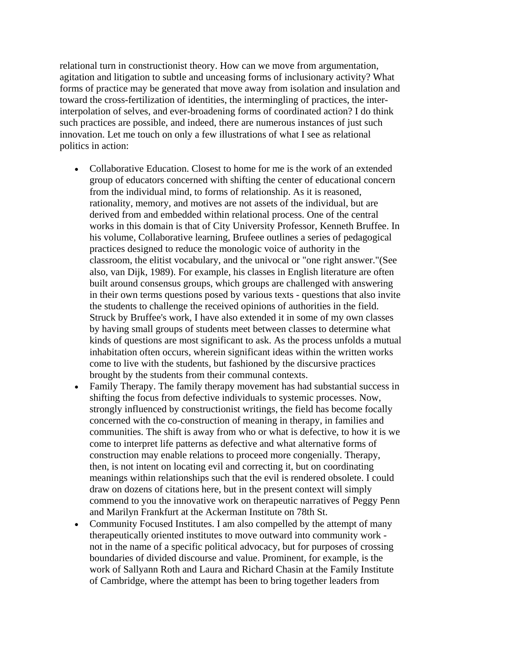relational turn in constructionist theory. How can we move from argumentation, agitation and litigation to subtle and unceasing forms of inclusionary activity? What forms of practice may be generated that move away from isolation and insulation and toward the cross-fertilization of identities, the intermingling of practices, the interinterpolation of selves, and ever-broadening forms of coordinated action? I do think such practices are possible, and indeed, there are numerous instances of just such innovation. Let me touch on only a few illustrations of what I see as relational politics in action:

- Collaborative Education. Closest to home for me is the work of an extended group of educators concerned with shifting the center of educational concern from the individual mind, to forms of relationship. As it is reasoned, rationality, memory, and motives are not assets of the individual, but are derived from and embedded within relational process. One of the central works in this domain is that of City University Professor, Kenneth Bruffee. In his volume, Collaborative learning, Brufeee outlines a series of pedagogical practices designed to reduce the monologic voice of authority in the classroom, the elitist vocabulary, and the univocal or "one right answer."(See also, van Dijk, 1989). For example, his classes in English literature are often built around consensus groups, which groups are challenged with answering in their own terms questions posed by various texts - questions that also invite the students to challenge the received opinions of authorities in the field. Struck by Bruffee's work, I have also extended it in some of my own classes by having small groups of students meet between classes to determine what kinds of questions are most significant to ask. As the process unfolds a mutual inhabitation often occurs, wherein significant ideas within the written works come to live with the students, but fashioned by the discursive practices brought by the students from their communal contexts.
- Family Therapy. The family therapy movement has had substantial success in shifting the focus from defective individuals to systemic processes. Now, strongly influenced by constructionist writings, the field has become focally concerned with the co-construction of meaning in therapy, in families and communities. The shift is away from who or what is defective, to how it is we come to interpret life patterns as defective and what alternative forms of construction may enable relations to proceed more congenially. Therapy, then, is not intent on locating evil and correcting it, but on coordinating meanings within relationships such that the evil is rendered obsolete. I could draw on dozens of citations here, but in the present context will simply commend to you the innovative work on therapeutic narratives of Peggy Penn and Marilyn Frankfurt at the Ackerman Institute on 78th St.
- Community Focused Institutes. I am also compelled by the attempt of many therapeutically oriented institutes to move outward into community work not in the name of a specific political advocacy, but for purposes of crossing boundaries of divided discourse and value. Prominent, for example, is the work of Sallyann Roth and Laura and Richard Chasin at the Family Institute of Cambridge, where the attempt has been to bring together leaders from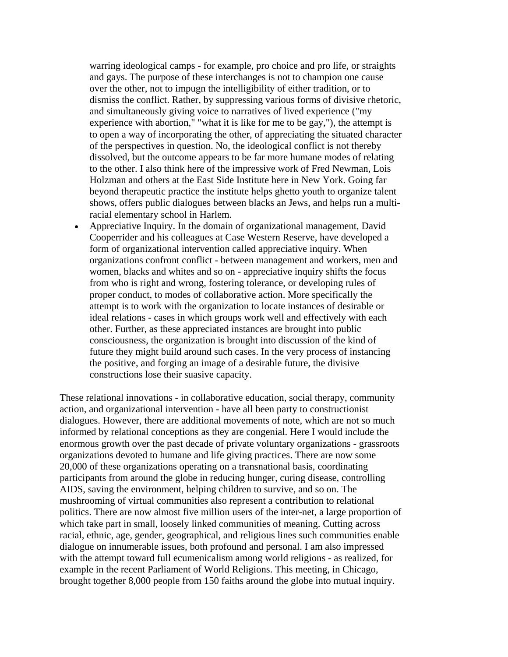warring ideological camps - for example, pro choice and pro life, or straights and gays. The purpose of these interchanges is not to champion one cause over the other, not to impugn the intelligibility of either tradition, or to dismiss the conflict. Rather, by suppressing various forms of divisive rhetoric, and simultaneously giving voice to narratives of lived experience ("my experience with abortion," "what it is like for me to be gay,"), the attempt is to open a way of incorporating the other, of appreciating the situated character of the perspectives in question. No, the ideological conflict is not thereby dissolved, but the outcome appears to be far more humane modes of relating to the other. I also think here of the impressive work of Fred Newman, Lois Holzman and others at the East Side Institute here in New York. Going far beyond therapeutic practice the institute helps ghetto youth to organize talent shows, offers public dialogues between blacks an Jews, and helps run a multiracial elementary school in Harlem.

• Appreciative Inquiry. In the domain of organizational management, David Cooperrider and his colleagues at Case Western Reserve, have developed a form of organizational intervention called appreciative inquiry. When organizations confront conflict - between management and workers, men and women, blacks and whites and so on - appreciative inquiry shifts the focus from who is right and wrong, fostering tolerance, or developing rules of proper conduct, to modes of collaborative action. More specifically the attempt is to work with the organization to locate instances of desirable or ideal relations - cases in which groups work well and effectively with each other. Further, as these appreciated instances are brought into public consciousness, the organization is brought into discussion of the kind of future they might build around such cases. In the very process of instancing the positive, and forging an image of a desirable future, the divisive constructions lose their suasive capacity.

These relational innovations - in collaborative education, social therapy, community action, and organizational intervention - have all been party to constructionist dialogues. However, there are additional movements of note, which are not so much informed by relational conceptions as they are congenial. Here I would include the enormous growth over the past decade of private voluntary organizations - grassroots organizations devoted to humane and life giving practices. There are now some 20,000 of these organizations operating on a transnational basis, coordinating participants from around the globe in reducing hunger, curing disease, controlling AIDS, saving the environment, helping children to survive, and so on. The mushrooming of virtual communities also represent a contribution to relational politics. There are now almost five million users of the inter-net, a large proportion of which take part in small, loosely linked communities of meaning. Cutting across racial, ethnic, age, gender, geographical, and religious lines such communities enable dialogue on innumerable issues, both profound and personal. I am also impressed with the attempt toward full ecumenicalism among world religions - as realized, for example in the recent Parliament of World Religions. This meeting, in Chicago, brought together 8,000 people from 150 faiths around the globe into mutual inquiry.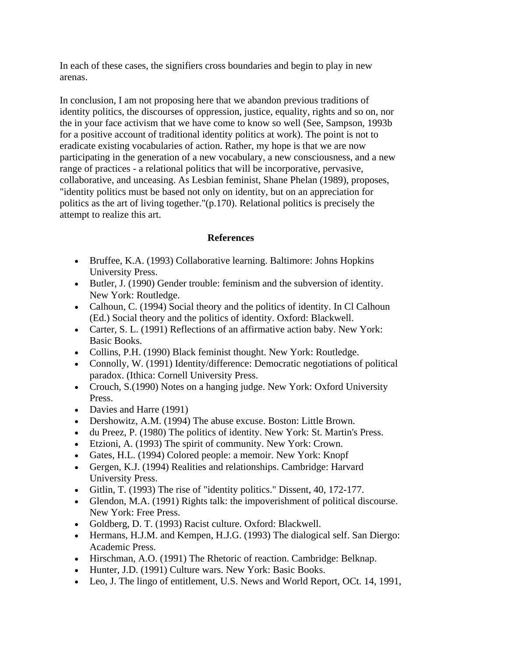In each of these cases, the signifiers cross boundaries and begin to play in new arenas.

In conclusion, I am not proposing here that we abandon previous traditions of identity politics, the discourses of oppression, justice, equality, rights and so on, nor the in your face activism that we have come to know so well (See, Sampson, 1993b for a positive account of traditional identity politics at work). The point is not to eradicate existing vocabularies of action. Rather, my hope is that we are now participating in the generation of a new vocabulary, a new consciousness, and a new range of practices - a relational politics that will be incorporative, pervasive, collaborative, and unceasing. As Lesbian feminist, Shane Phelan (1989), proposes, "identity politics must be based not only on identity, but on an appreciation for politics as the art of living together."(p.170). Relational politics is precisely the attempt to realize this art.

# **References**

- Bruffee, K.A. (1993) Collaborative learning. Baltimore: Johns Hopkins University Press.
- Butler, J. (1990) Gender trouble: feminism and the subversion of identity. New York: Routledge.
- Calhoun, C. (1994) Social theory and the politics of identity. In Cl Calhoun (Ed.) Social theory and the politics of identity. Oxford: Blackwell.
- Carter, S. L. (1991) Reflections of an affirmative action baby. New York: Basic Books.
- Collins, P.H. (1990) Black feminist thought. New York: Routledge.
- Connolly, W. (1991) Identity/difference: Democratic negotiations of political paradox. (Ithica: Cornell University Press.
- Crouch, S.(1990) Notes on a hanging judge. New York: Oxford University Press.
- Davies and Harre (1991)
- Dershowitz, A.M. (1994) The abuse excuse. Boston: Little Brown.
- du Preez, P. (1980) The politics of identity. New York: St. Martin's Press.
- Etzioni, A. (1993) The spirit of community. New York: Crown.
- Gates, H.L. (1994) Colored people: a memoir. New York: Knopf
- Gergen, K.J. (1994) Realities and relationships. Cambridge: Harvard University Press.
- Gitlin, T. (1993) The rise of "identity politics." Dissent, 40, 172-177.
- Glendon, M.A. (1991) Rights talk: the impoverishment of political discourse. New York: Free Press.
- Goldberg, D. T. (1993) Racist culture. Oxford: Blackwell.
- Hermans, H.J.M. and Kempen, H.J.G. (1993) The dialogical self. San Diergo: Academic Press.
- Hirschman, A.O. (1991) The Rhetoric of reaction. Cambridge: Belknap.
- Hunter, J.D. (1991) Culture wars. New York: Basic Books.
- Leo, J. The lingo of entitlement, U.S. News and World Report, OCt. 14, 1991,